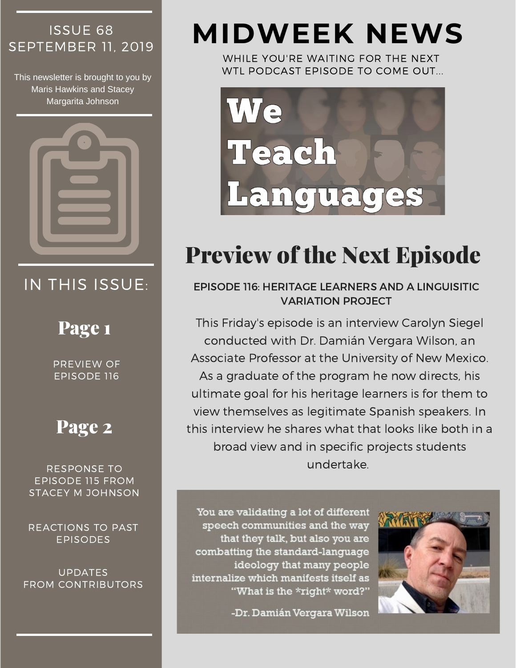# ISSUE 68

This newsletter is brought to you by Maris Hawkins and Stacey Margarita Johnson



## IN THIS ISSUE:

## Page 1

PREVIEW OF EPISODE 116

## Page 2

RESPONSE TO EPISODE 115 FROM STACEY M JOHNSON

REACTIONS TO PAST EPISODES

UPDATES FROM CONTRIBUTORS

# SEPTEMBER 11, <sup>2019</sup> **MIDWEEK NEWS**

WHILE YOU'RE WAITING FOR THE NEXT WTL PODCAST EPISODE TO COME OUT...



## Preview of the Next Episode

EPISODE 116: HERITAGE LEARNERS AND A LINGUISITIC VARIATION PROJECT

This Friday's episode is an interview Carolyn Siegel conducted with Dr. Damián Vergara Wilson, an Associate Professor at the University of New Mexico. As a graduate of the program he now directs, his ultimate goal for his heritage learners is for them to view themselves as legitimate Spanish speakers. In this interview he shares what that looks like both in a broad view and in specific projects students undertake.

You are validating a lot of different speech communities and the way that they talk, but also you are combatting the standard-language ideology that many people internalize which manifests itself as "What is the \*right\* word?"

-Dr. Damián Vergara Wilson